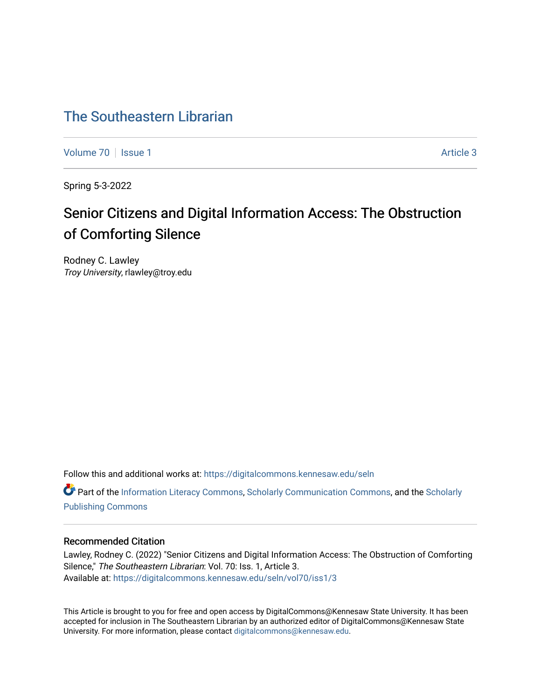# [The Southeastern Librarian](https://digitalcommons.kennesaw.edu/seln)

[Volume 70](https://digitalcommons.kennesaw.edu/seln/vol70) | [Issue 1](https://digitalcommons.kennesaw.edu/seln/vol70/iss1) Article 3

Spring 5-3-2022

# Senior Citizens and Digital Information Access: The Obstruction of Comforting Silence

Rodney C. Lawley Troy University, rlawley@troy.edu

Follow this and additional works at: [https://digitalcommons.kennesaw.edu/seln](https://digitalcommons.kennesaw.edu/seln?utm_source=digitalcommons.kennesaw.edu%2Fseln%2Fvol70%2Fiss1%2F3&utm_medium=PDF&utm_campaign=PDFCoverPages) 

Part of the [Information Literacy Commons](http://network.bepress.com/hgg/discipline/1243?utm_source=digitalcommons.kennesaw.edu%2Fseln%2Fvol70%2Fiss1%2F3&utm_medium=PDF&utm_campaign=PDFCoverPages), [Scholarly Communication Commons](http://network.bepress.com/hgg/discipline/1272?utm_source=digitalcommons.kennesaw.edu%2Fseln%2Fvol70%2Fiss1%2F3&utm_medium=PDF&utm_campaign=PDFCoverPages), and the [Scholarly](http://network.bepress.com/hgg/discipline/1273?utm_source=digitalcommons.kennesaw.edu%2Fseln%2Fvol70%2Fiss1%2F3&utm_medium=PDF&utm_campaign=PDFCoverPages) [Publishing Commons](http://network.bepress.com/hgg/discipline/1273?utm_source=digitalcommons.kennesaw.edu%2Fseln%2Fvol70%2Fiss1%2F3&utm_medium=PDF&utm_campaign=PDFCoverPages)

#### Recommended Citation

Lawley, Rodney C. (2022) "Senior Citizens and Digital Information Access: The Obstruction of Comforting Silence," The Southeastern Librarian: Vol. 70: Iss. 1, Article 3. Available at: [https://digitalcommons.kennesaw.edu/seln/vol70/iss1/3](https://digitalcommons.kennesaw.edu/seln/vol70/iss1/3?utm_source=digitalcommons.kennesaw.edu%2Fseln%2Fvol70%2Fiss1%2F3&utm_medium=PDF&utm_campaign=PDFCoverPages)

This Article is brought to you for free and open access by DigitalCommons@Kennesaw State University. It has been accepted for inclusion in The Southeastern Librarian by an authorized editor of DigitalCommons@Kennesaw State University. For more information, please contact [digitalcommons@kennesaw.edu.](mailto:digitalcommons@kennesaw.edu)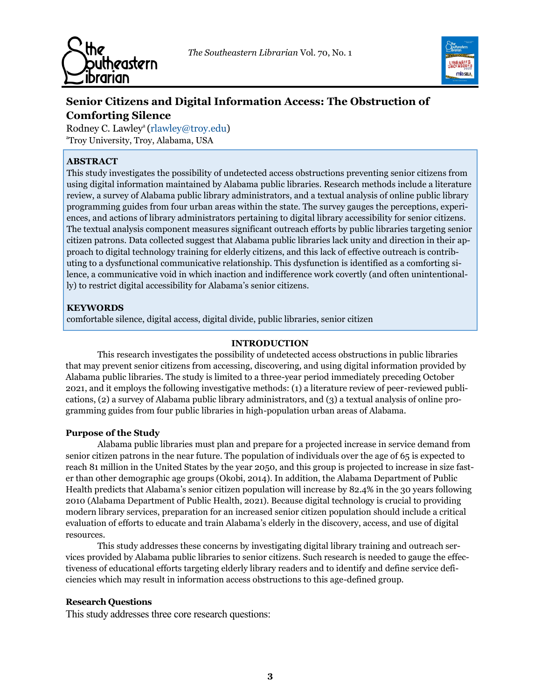*The Southeastern Librarian* Vol. 70, No. 1





# **Senior Citizens and Digital Information Access: The Obstruction of Comforting Silence**

Rodney C. Lawley<sup>a</sup> (rlawley@troy.edu) <sup>a</sup>Troy University, Troy, Alabama, USA

# **ABSTRACT**

This study investigates the possibility of undetected access obstructions preventing senior citizens from using digital information maintained by Alabama public libraries. Research methods include a literature review, a survey of Alabama public library administrators, and a textual analysis of online public library programming guides from four urban areas within the state. The survey gauges the perceptions, experiences, and actions of library administrators pertaining to digital library accessibility for senior citizens. The textual analysis component measures significant outreach efforts by public libraries targeting senior citizen patrons. Data collected suggest that Alabama public libraries lack unity and direction in their approach to digital technology training for elderly citizens, and this lack of effective outreach is contributing to a dysfunctional communicative relationship. This dysfunction is identified as a comforting silence, a communicative void in which inaction and indifference work covertly (and often unintentionally) to restrict digital accessibility for Alabama's senior citizens.

# **KEYWORDS**

comfortable silence, digital access, digital divide, public libraries, senior citizen

#### **INTRODUCTION**

This research investigates the possibility of undetected access obstructions in public libraries that may prevent senior citizens from accessing, discovering, and using digital information provided by Alabama public libraries. The study is limited to a three-year period immediately preceding October 2021, and it employs the following investigative methods: (1) a literature review of peer-reviewed publications, (2) a survey of Alabama public library administrators, and (3) a textual analysis of online programming guides from four public libraries in high-population urban areas of Alabama.

#### **Purpose of the Study**

Alabama public libraries must plan and prepare for a projected increase in service demand from senior citizen patrons in the near future. The population of individuals over the age of 65 is expected to reach 81 million in the United States by the year 2050, and this group is projected to increase in size faster than other demographic age groups (Okobi, 2014). In addition, the Alabama Department of Public Health predicts that Alabama's senior citizen population will increase by 82.4% in the 30 years following 2010 (Alabama Department of Public Health, 2021). Because digital technology is crucial to providing modern library services, preparation for an increased senior citizen population should include a critical evaluation of efforts to educate and train Alabama's elderly in the discovery, access, and use of digital resources.

This study addresses these concerns by investigating digital library training and outreach services provided by Alabama public libraries to senior citizens. Such research is needed to gauge the effectiveness of educational efforts targeting elderly library readers and to identify and define service deficiencies which may result in information access obstructions to this age-defined group.

#### **Research Questions**

This study addresses three core research questions: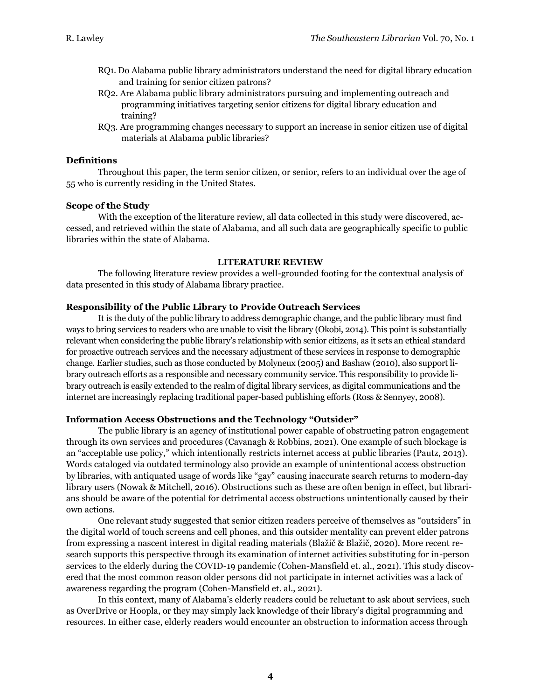- RQ1. Do Alabama public library administrators understand the need for digital library education and training for senior citizen patrons?
- RQ2. Are Alabama public library administrators pursuing and implementing outreach and programming initiatives targeting senior citizens for digital library education and training?
- RQ3. Are programming changes necessary to support an increase in senior citizen use of digital materials at Alabama public libraries?

#### **Definitions**

Throughout this paper, the term senior citizen, or senior, refers to an individual over the age of 55 who is currently residing in the United States.

#### **Scope of the Study**

With the exception of the literature review, all data collected in this study were discovered, accessed, and retrieved within the state of Alabama, and all such data are geographically specific to public libraries within the state of Alabama.

#### **LITERATURE REVIEW**

The following literature review provides a well-grounded footing for the contextual analysis of data presented in this study of Alabama library practice.

#### **Responsibility of the Public Library to Provide Outreach Services**

It is the duty of the public library to address demographic change, and the public library must find ways to bring services to readers who are unable to visit the library (Okobi, 2014). This point is substantially relevant when considering the public library's relationship with senior citizens, as it sets an ethical standard for proactive outreach services and the necessary adjustment of these services in response to demographic change*.* Earlier studies, such as those conducted by Molyneux (2005) and Bashaw (2010), also support library outreach efforts as a responsible and necessary community service. This responsibility to provide library outreach is easily extended to the realm of digital library services, as digital communications and the internet are increasingly replacing traditional paper-based publishing efforts (Ross & Sennyey, 2008).

#### **Information Access Obstructions and the Technology "Outsider"**

The public library is an agency of institutional power capable of obstructing patron engagement through its own services and procedures (Cavanagh & Robbins, 2021). One example of such blockage is an "acceptable use policy," which intentionally restricts internet access at public libraries (Pautz, 2013). Words cataloged via outdated terminology also provide an example of unintentional access obstruction by libraries, with antiquated usage of words like "gay" causing inaccurate search returns to modern-day library users (Nowak & Mitchell, 2016). Obstructions such as these are often benign in effect, but librarians should be aware of the potential for detrimental access obstructions unintentionally caused by their own actions.

One relevant study suggested that senior citizen readers perceive of themselves as "outsiders" in the digital world of touch screens and cell phones, and this outsider mentality can prevent elder patrons from expressing a nascent interest in digital reading materials (Blažič & Blažič, 2020). More recent research supports this perspective through its examination of internet activities substituting for in-person services to the elderly during the COVID-19 pandemic (Cohen-Mansfield et. al., 2021). This study discovered that the most common reason older persons did not participate in internet activities was a lack of awareness regarding the program (Cohen-Mansfield et. al., 2021).

In this context, many of Alabama's elderly readers could be reluctant to ask about services, such as OverDrive or Hoopla, or they may simply lack knowledge of their library's digital programming and resources. In either case, elderly readers would encounter an obstruction to information access through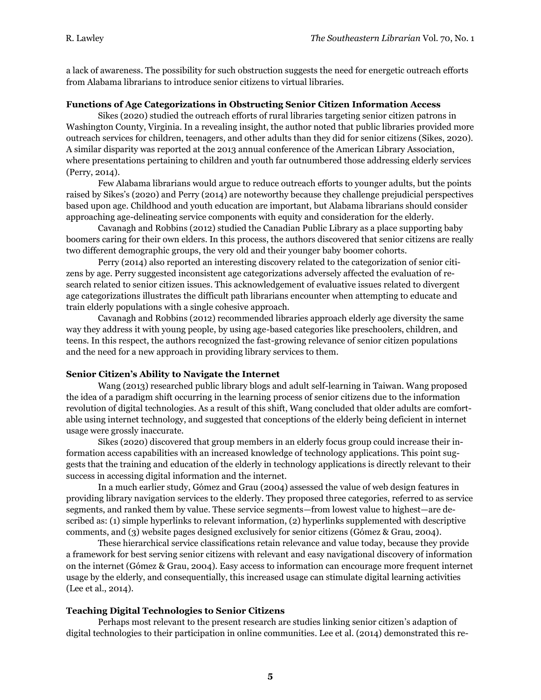a lack of awareness. The possibility for such obstruction suggests the need for energetic outreach efforts from Alabama librarians to introduce senior citizens to virtual libraries.

#### **Functions of Age Categorizations in Obstructing Senior Citizen Information Access**

Sikes (2020) studied the outreach efforts of rural libraries targeting senior citizen patrons in Washington County, Virginia. In a revealing insight, the author noted that public libraries provided more outreach services for children, teenagers, and other adults than they did for senior citizens (Sikes, 2020). A similar disparity was reported at the 2013 annual conference of the American Library Association, where presentations pertaining to children and youth far outnumbered those addressing elderly services (Perry, 2014).

Few Alabama librarians would argue to reduce outreach efforts to younger adults, but the points raised by Sikes's (2020) and Perry (2014) are noteworthy because they challenge prejudicial perspectives based upon age. Childhood and youth education are important, but Alabama librarians should consider approaching age-delineating service components with equity and consideration for the elderly.

Cavanagh and Robbins (2012) studied the Canadian Public Library as a place supporting baby boomers caring for their own elders. In this process, the authors discovered that senior citizens are really two different demographic groups, the very old and their younger baby boomer cohorts.

Perry (2014) also reported an interesting discovery related to the categorization of senior citizens by age. Perry suggested inconsistent age categorizations adversely affected the evaluation of research related to senior citizen issues. This acknowledgement of evaluative issues related to divergent age categorizations illustrates the difficult path librarians encounter when attempting to educate and train elderly populations with a single cohesive approach.

Cavanagh and Robbins (2012) recommended libraries approach elderly age diversity the same way they address it with young people, by using age-based categories like preschoolers, children, and teens. In this respect, the authors recognized the fast-growing relevance of senior citizen populations and the need for a new approach in providing library services to them.

#### **Senior Citizen's Ability to Navigate the Internet**

Wang (2013) researched public library blogs and adult self-learning in Taiwan. Wang proposed the idea of a paradigm shift occurring in the learning process of senior citizens due to the information revolution of digital technologies. As a result of this shift, Wang concluded that older adults are comfortable using internet technology, and suggested that conceptions of the elderly being deficient in internet usage were grossly inaccurate.

Sikes (2020) discovered that group members in an elderly focus group could increase their information access capabilities with an increased knowledge of technology applications. This point suggests that the training and education of the elderly in technology applications is directly relevant to their success in accessing digital information and the internet.

In a much earlier study, Gómez and Grau (2004) assessed the value of web design features in providing library navigation services to the elderly. They proposed three categories, referred to as service segments, and ranked them by value. These service segments—from lowest value to highest—are described as: (1) simple hyperlinks to relevant information, (2) hyperlinks supplemented with descriptive comments, and (3) website pages designed exclusively for senior citizens (Gómez & Grau, 2004).

These hierarchical service classifications retain relevance and value today, because they provide a framework for best serving senior citizens with relevant and easy navigational discovery of information on the internet (Gómez & Grau, 2004). Easy access to information can encourage more frequent internet usage by the elderly, and consequentially, this increased usage can stimulate digital learning activities (Lee et al., 2014).

#### **Teaching Digital Technologies to Senior Citizens**

Perhaps most relevant to the present research are studies linking senior citizen's adaption of digital technologies to their participation in online communities. Lee et al. (2014) demonstrated this re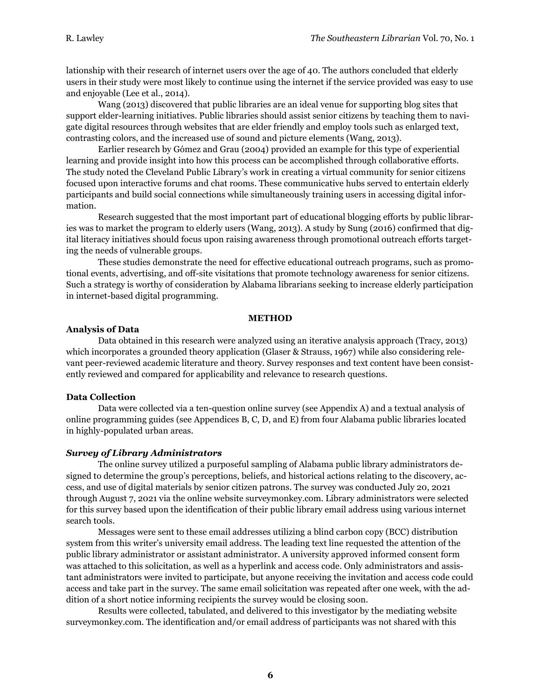lationship with their research of internet users over the age of 40. The authors concluded that elderly users in their study were most likely to continue using the internet if the service provided was easy to use and enjoyable (Lee et al., 2014).

Wang (2013) discovered that public libraries are an ideal venue for supporting blog sites that support elder-learning initiatives. Public libraries should assist senior citizens by teaching them to navigate digital resources through websites that are elder friendly and employ tools such as enlarged text, contrasting colors, and the increased use of sound and picture elements (Wang, 2013).

Earlier research by Gómez and Grau (2004) provided an example for this type of experiential learning and provide insight into how this process can be accomplished through collaborative efforts. The study noted the Cleveland Public Library's work in creating a virtual community for senior citizens focused upon interactive forums and chat rooms. These communicative hubs served to entertain elderly participants and build social connections while simultaneously training users in accessing digital information.

Research suggested that the most important part of educational blogging efforts by public libraries was to market the program to elderly users (Wang, 2013). A study by Sung (2016) confirmed that digital literacy initiatives should focus upon raising awareness through promotional outreach efforts targeting the needs of vulnerable groups.

These studies demonstrate the need for effective educational outreach programs, such as promotional events, advertising, and off-site visitations that promote technology awareness for senior citizens. Such a strategy is worthy of consideration by Alabama librarians seeking to increase elderly participation in internet-based digital programming.

#### **METHOD**

#### **Analysis of Data**

Data obtained in this research were analyzed using an iterative analysis approach (Tracy, 2013) which incorporates a grounded theory application (Glaser & Strauss, 1967) while also considering relevant peer-reviewed academic literature and theory. Survey responses and text content have been consistently reviewed and compared for applicability and relevance to research questions.

#### **Data Collection**

Data were collected via a ten-question online survey (see Appendix A) and a textual analysis of online programming guides (see Appendices B, C, D, and E) from four Alabama public libraries located in highly-populated urban areas.

#### *Survey of Library Administrators*

The online survey utilized a purposeful sampling of Alabama public library administrators designed to determine the group's perceptions, beliefs, and historical actions relating to the discovery, access, and use of digital materials by senior citizen patrons. The survey was conducted July 20, 2021 through August 7, 2021 via the online website surveymonkey.com. Library administrators were selected for this survey based upon the identification of their public library email address using various internet search tools.

Messages were sent to these email addresses utilizing a blind carbon copy (BCC) distribution system from this writer's university email address. The leading text line requested the attention of the public library administrator or assistant administrator. A university approved informed consent form was attached to this solicitation, as well as a hyperlink and access code. Only administrators and assistant administrators were invited to participate, but anyone receiving the invitation and access code could access and take part in the survey. The same email solicitation was repeated after one week, with the addition of a short notice informing recipients the survey would be closing soon.

Results were collected, tabulated, and delivered to this investigator by the mediating website surveymonkey.com. The identification and/or email address of participants was not shared with this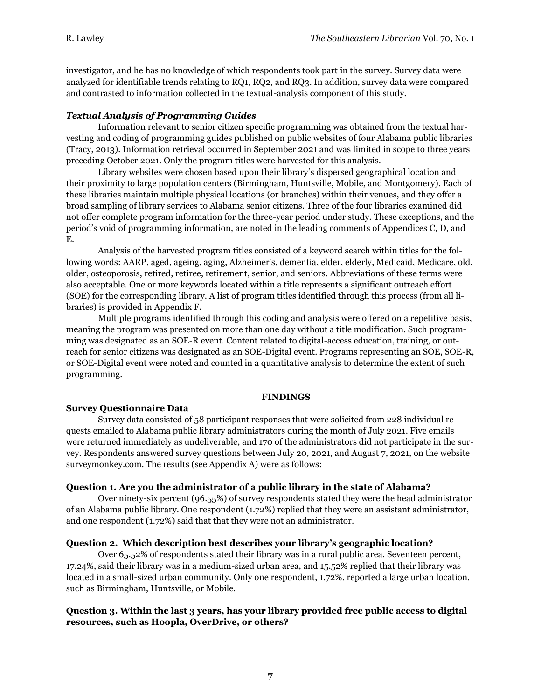investigator, and he has no knowledge of which respondents took part in the survey. Survey data were analyzed for identifiable trends relating to RQ1, RQ2, and RQ3. In addition, survey data were compared and contrasted to information collected in the textual-analysis component of this study.

#### *Textual Analysis of Programming Guides*

Information relevant to senior citizen specific programming was obtained from the textual harvesting and coding of programming guides published on public websites of four Alabama public libraries (Tracy, 2013). Information retrieval occurred in September 2021 and was limited in scope to three years preceding October 2021. Only the program titles were harvested for this analysis.

Library websites were chosen based upon their library's dispersed geographical location and their proximity to large population centers (Birmingham, Huntsville, Mobile, and Montgomery). Each of these libraries maintain multiple physical locations (or branches) within their venues, and they offer a broad sampling of library services to Alabama senior citizens. Three of the four libraries examined did not offer complete program information for the three-year period under study. These exceptions, and the period's void of programming information, are noted in the leading comments of Appendices C, D, and E.

Analysis of the harvested program titles consisted of a keyword search within titles for the following words: AARP, aged, ageing, aging, Alzheimer's, dementia, elder, elderly, Medicaid, Medicare, old, older, osteoporosis, retired, retiree, retirement, senior, and seniors. Abbreviations of these terms were also acceptable. One or more keywords located within a title represents a significant outreach effort (SOE) for the corresponding library. A list of program titles identified through this process (from all libraries) is provided in Appendix F.

Multiple programs identified through this coding and analysis were offered on a repetitive basis, meaning the program was presented on more than one day without a title modification. Such programming was designated as an SOE-R event. Content related to digital-access education, training, or outreach for senior citizens was designated as an SOE-Digital event. Programs representing an SOE, SOE-R, or SOE-Digital event were noted and counted in a quantitative analysis to determine the extent of such programming.

#### **FINDINGS**

#### **Survey Questionnaire Data**

Survey data consisted of 58 participant responses that were solicited from 228 individual requests emailed to Alabama public library administrators during the month of July 2021. Five emails were returned immediately as undeliverable, and 170 of the administrators did not participate in the survey. Respondents answered survey questions between July 20, 2021, and August 7, 2021, on the website surveymonkey.com. The results (see Appendix A) were as follows:

#### **Question 1. Are you the administrator of a public library in the state of Alabama?**

Over ninety-six percent (96.55%) of survey respondents stated they were the head administrator of an Alabama public library. One respondent (1.72%) replied that they were an assistant administrator, and one respondent (1.72%) said that that they were not an administrator.

#### **Question 2. Which description best describes your library's geographic location?**

Over 65.52% of respondents stated their library was in a rural public area. Seventeen percent, 17.24%, said their library was in a medium-sized urban area, and 15.52% replied that their library was located in a small-sized urban community. Only one respondent, 1.72%, reported a large urban location, such as Birmingham, Huntsville, or Mobile.

#### **Question 3. Within the last 3 years, has your library provided free public access to digital resources, such as Hoopla, OverDrive, or others?**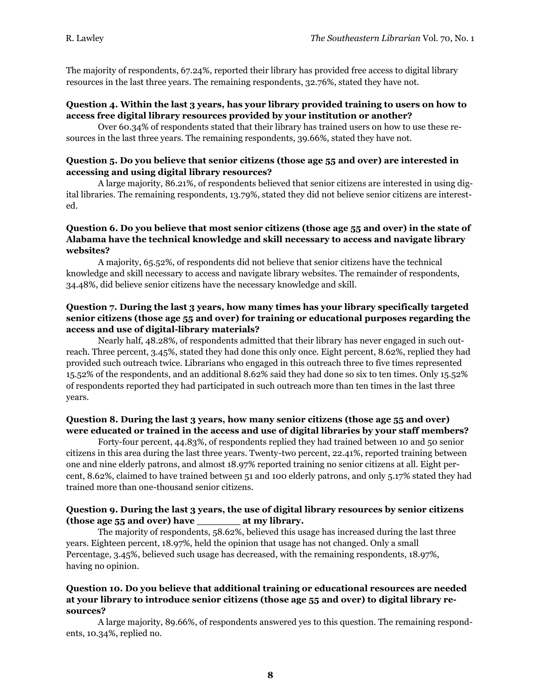The majority of respondents, 67.24%, reported their library has provided free access to digital library resources in the last three years. The remaining respondents, 32.76%, stated they have not.

#### **Question 4. Within the last 3 years, has your library provided training to users on how to access free digital library resources provided by your institution or another?**

Over 60.34% of respondents stated that their library has trained users on how to use these resources in the last three years. The remaining respondents, 39.66%, stated they have not.

#### **Question 5. Do you believe that senior citizens (those age 55 and over) are interested in accessing and using digital library resources?**

A large majority, 86.21%, of respondents believed that senior citizens are interested in using digital libraries. The remaining respondents, 13.79%, stated they did not believe senior citizens are interested.

## **Question 6. Do you believe that most senior citizens (those age 55 and over) in the state of Alabama have the technical knowledge and skill necessary to access and navigate library websites?**

A majority, 65.52%, of respondents did not believe that senior citizens have the technical knowledge and skill necessary to access and navigate library websites. The remainder of respondents, 34.48%, did believe senior citizens have the necessary knowledge and skill.

# **Question 7. During the last 3 years, how many times has your library specifically targeted senior citizens (those age 55 and over) for training or educational purposes regarding the access and use of digital-library materials?**

Nearly half, 48.28%, of respondents admitted that their library has never engaged in such outreach. Three percent, 3.45%, stated they had done this only once. Eight percent, 8.62%, replied they had provided such outreach twice. Librarians who engaged in this outreach three to five times represented 15.52% of the respondents, and an additional 8.62% said they had done so six to ten times. Only 15.52% of respondents reported they had participated in such outreach more than ten times in the last three years.

## **Question 8. During the last 3 years, how many senior citizens (those age 55 and over) were educated or trained in the access and use of digital libraries by your staff members?**

Forty-four percent, 44.83%, of respondents replied they had trained between 10 and 50 senior citizens in this area during the last three years. Twenty-two percent, 22.41%, reported training between one and nine elderly patrons, and almost 18.97% reported training no senior citizens at all. Eight percent, 8.62%, claimed to have trained between 51 and 100 elderly patrons, and only 5.17% stated they had trained more than one-thousand senior citizens.

#### **Question 9. During the last 3 years, the use of digital library resources by senior citizens (those age 55 and over) have \_\_\_\_\_\_\_ at my library.**

The majority of respondents, 58.62%, believed this usage has increased during the last three years. Eighteen percent, 18.97%, held the opinion that usage has not changed. Only a small Percentage, 3.45%, believed such usage has decreased, with the remaining respondents, 18.97%, having no opinion.

#### **Question 10. Do you believe that additional training or educational resources are needed at your library to introduce senior citizens (those age 55 and over) to digital library resources?**

A large majority, 89.66%, of respondents answered yes to this question. The remaining respondents, 10.34%, replied no.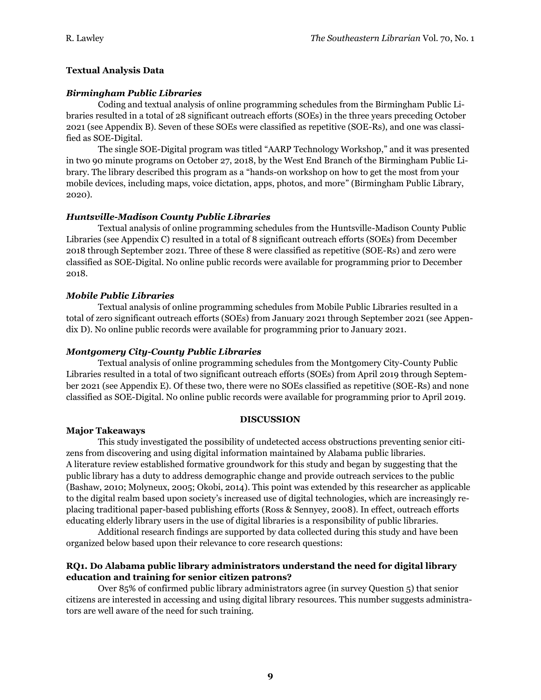# **Textual Analysis Data**

# *Birmingham Public Libraries*

Coding and textual analysis of online programming schedules from the Birmingham Public Libraries resulted in a total of 28 significant outreach efforts (SOEs) in the three years preceding October 2021 (see Appendix B). Seven of these SOEs were classified as repetitive (SOE-Rs), and one was classified as SOE-Digital.

The single SOE-Digital program was titled "AARP Technology Workshop," and it was presented in two 90 minute programs on October 27, 2018, by the West End Branch of the Birmingham Public Library. The library described this program as a "hands-on workshop on how to get the most from your mobile devices, including maps, voice dictation, apps, photos, and more" (Birmingham Public Library, 2020).

# *Huntsville-Madison County Public Libraries*

Textual analysis of online programming schedules from the Huntsville-Madison County Public Libraries (see Appendix C) resulted in a total of 8 significant outreach efforts (SOEs) from December 2018 through September 2021. Three of these 8 were classified as repetitive (SOE-Rs) and zero were classified as SOE-Digital. No online public records were available for programming prior to December 2018.

# *Mobile Public Libraries*

Textual analysis of online programming schedules from Mobile Public Libraries resulted in a total of zero significant outreach efforts (SOEs) from January 2021 through September 2021 (see Appendix D). No online public records were available for programming prior to January 2021.

## *Montgomery City-County Public Libraries*

Textual analysis of online programming schedules from the Montgomery City-County Public Libraries resulted in a total of two significant outreach efforts (SOEs) from April 2019 through September 2021 (see Appendix E). Of these two, there were no SOEs classified as repetitive (SOE-Rs) and none classified as SOE-Digital. No online public records were available for programming prior to April 2019.

#### **DISCUSSION**

# **Major Takeaways**

This study investigated the possibility of undetected access obstructions preventing senior citizens from discovering and using digital information maintained by Alabama public libraries. A literature review established formative groundwork for this study and began by suggesting that the public library has a duty to address demographic change and provide outreach services to the public (Bashaw, 2010; Molyneux, 2005; Okobi, 2014). This point was extended by this researcher as applicable to the digital realm based upon society's increased use of digital technologies, which are increasingly replacing traditional paper-based publishing efforts (Ross & Sennyey, 2008). In effect, outreach efforts educating elderly library users in the use of digital libraries is a responsibility of public libraries.

Additional research findings are supported by data collected during this study and have been organized below based upon their relevance to core research questions:

# **RQ1. Do Alabama public library administrators understand the need for digital library education and training for senior citizen patrons?**

Over 85% of confirmed public library administrators agree (in survey Question 5) that senior citizens are interested in accessing and using digital library resources. This number suggests administrators are well aware of the need for such training.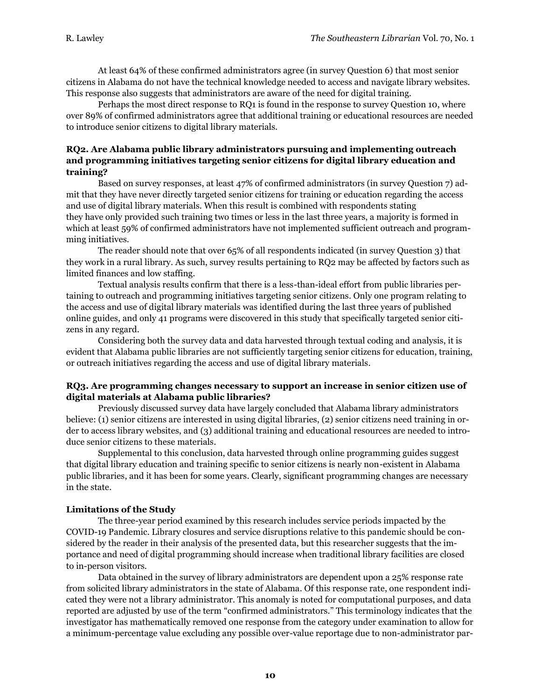At least 64% of these confirmed administrators agree (in survey Question 6) that most senior citizens in Alabama do not have the technical knowledge needed to access and navigate library websites. This response also suggests that administrators are aware of the need for digital training.

Perhaps the most direct response to RQ1 is found in the response to survey Question 10, where over 89% of confirmed administrators agree that additional training or educational resources are needed to introduce senior citizens to digital library materials.

## **RQ2. Are Alabama public library administrators pursuing and implementing outreach and programming initiatives targeting senior citizens for digital library education and training?**

Based on survey responses, at least 47% of confirmed administrators (in survey Question 7) admit that they have never directly targeted senior citizens for training or education regarding the access and use of digital library materials. When this result is combined with respondents stating they have only provided such training two times or less in the last three years, a majority is formed in which at least 59% of confirmed administrators have not implemented sufficient outreach and programming initiatives.

The reader should note that over 65% of all respondents indicated (in survey Question 3) that they work in a rural library. As such, survey results pertaining to RQ2 may be affected by factors such as limited finances and low staffing.

Textual analysis results confirm that there is a less-than-ideal effort from public libraries pertaining to outreach and programming initiatives targeting senior citizens. Only one program relating to the access and use of digital library materials was identified during the last three years of published online guides, and only 41 programs were discovered in this study that specifically targeted senior citizens in any regard.

Considering both the survey data and data harvested through textual coding and analysis, it is evident that Alabama public libraries are not sufficiently targeting senior citizens for education, training, or outreach initiatives regarding the access and use of digital library materials.

#### **RQ3. Are programming changes necessary to support an increase in senior citizen use of digital materials at Alabama public libraries?**

Previously discussed survey data have largely concluded that Alabama library administrators believe: (1) senior citizens are interested in using digital libraries, (2) senior citizens need training in order to access library websites, and (3) additional training and educational resources are needed to introduce senior citizens to these materials.

Supplemental to this conclusion, data harvested through online programming guides suggest that digital library education and training specific to senior citizens is nearly non-existent in Alabama public libraries, and it has been for some years. Clearly, significant programming changes are necessary in the state.

#### **Limitations of the Study**

The three-year period examined by this research includes service periods impacted by the COVID-19 Pandemic. Library closures and service disruptions relative to this pandemic should be considered by the reader in their analysis of the presented data, but this researcher suggests that the importance and need of digital programming should increase when traditional library facilities are closed to in-person visitors.

Data obtained in the survey of library administrators are dependent upon a 25% response rate from solicited library administrators in the state of Alabama. Of this response rate, one respondent indicated they were not a library administrator. This anomaly is noted for computational purposes, and data reported are adjusted by use of the term "confirmed administrators." This terminology indicates that the investigator has mathematically removed one response from the category under examination to allow for a minimum-percentage value excluding any possible over-value reportage due to non-administrator par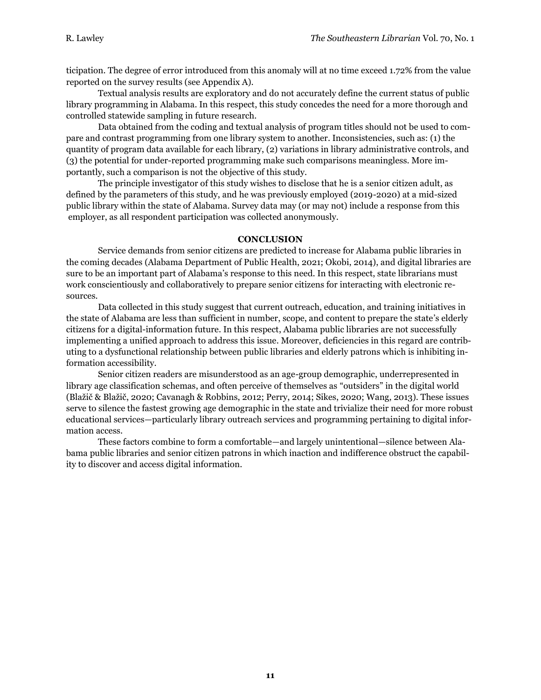ticipation. The degree of error introduced from this anomaly will at no time exceed 1.72% from the value reported on the survey results (see Appendix A).

Textual analysis results are exploratory and do not accurately define the current status of public library programming in Alabama. In this respect, this study concedes the need for a more thorough and controlled statewide sampling in future research.

Data obtained from the coding and textual analysis of program titles should not be used to compare and contrast programming from one library system to another. Inconsistencies, such as: (1) the quantity of program data available for each library, (2) variations in library administrative controls, and (3) the potential for under-reported programming make such comparisons meaningless. More importantly, such a comparison is not the objective of this study.

The principle investigator of this study wishes to disclose that he is a senior citizen adult, as defined by the parameters of this study, and he was previously employed (2019-2020) at a mid-sized public library within the state of Alabama. Survey data may (or may not) include a response from this employer, as all respondent participation was collected anonymously.

#### **CONCLUSION**

Service demands from senior citizens are predicted to increase for Alabama public libraries in the coming decades (Alabama Department of Public Health, 2021; Okobi, 2014), and digital libraries are sure to be an important part of Alabama's response to this need. In this respect, state librarians must work conscientiously and collaboratively to prepare senior citizens for interacting with electronic resources.

Data collected in this study suggest that current outreach, education, and training initiatives in the state of Alabama are less than sufficient in number, scope, and content to prepare the state's elderly citizens for a digital-information future. In this respect, Alabama public libraries are not successfully implementing a unified approach to address this issue. Moreover, deficiencies in this regard are contributing to a dysfunctional relationship between public libraries and elderly patrons which is inhibiting information accessibility.

Senior citizen readers are misunderstood as an age-group demographic, underrepresented in library age classification schemas, and often perceive of themselves as "outsiders" in the digital world (Blažič & Blažič, 2020; Cavanagh & Robbins, 2012; Perry, 2014; Sikes, 2020; Wang, 2013). These issues serve to silence the fastest growing age demographic in the state and trivialize their need for more robust educational services—particularly library outreach services and programming pertaining to digital information access.

These factors combine to form a comfortable—and largely unintentional—silence between Alabama public libraries and senior citizen patrons in which inaction and indifference obstruct the capability to discover and access digital information.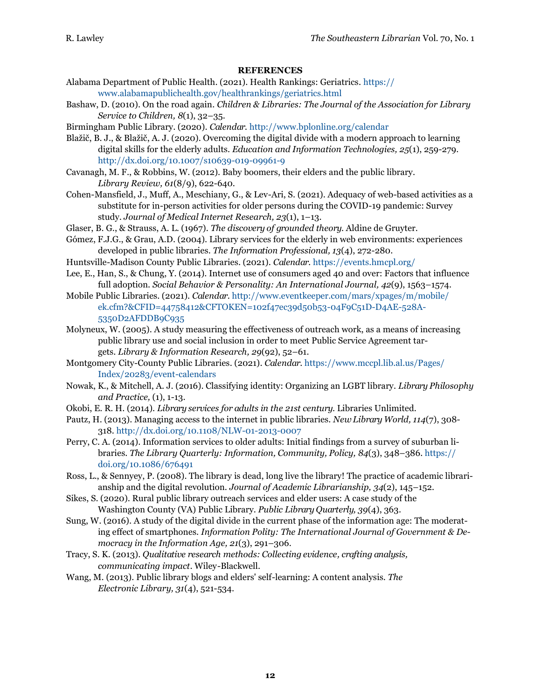#### **REFERENCES**

- Alabama Department of Public Health. (2021). Health Rankings: Geriatrics. https:// www.alabamapublichealth.gov/healthrankings/geriatrics.html
- Bashaw, D. (2010). On the road again. *Children & Libraries: The Journal of the Association for Library Service to Children, 8*(1), 32–35.
- Birmingham Public Library. (2020). *Calendar.* http://www.bplonline.org/calendar
- Blažič, B. J., & Blažič, A. J. (2020). Overcoming the digital divide with a modern approach to learning digital skills for the elderly adults. *Education and Information Technologies, 25*(1), 259-279. http://dx.doi.org/10.1007/s10639-019-09961-9
- Cavanagh, M. F., & Robbins, W. (2012). Baby boomers, their elders and the public library. *Library Review, 61*(8/9), 622-640.
- Cohen-Mansfield, J., Muff, A., Meschiany, G., & Lev-Ari, S. (2021). Adequacy of web-based activities as a substitute for in-person activities for older persons during the COVID-19 pandemic: Survey study. *Journal of Medical Internet Research, 23*(1), 1–13.
- Glaser, B. G., & Strauss, A. L. (1967). *The discovery of grounded theory*. Aldine de Gruyter.
- Gómez, F.J.G., & Grau, A.D. (2004). Library services for the elderly in web environments: experiences developed in public libraries. *The Information Professional, 13*(4), 272-280.
- Huntsville-Madison County Public Libraries. (2021). *Calendar.* https://events.hmcpl.org/
- Lee, E., Han, S., & Chung, Y. (2014). Internet use of consumers aged 40 and over: Factors that influence full adoption. *Social Behavior & Personality: An International Journal, 42*(9), 1563–1574.
- Mobile Public Libraries. (2021). *Calendar*. http://www.eventkeeper.com/mars/xpages/m/mobile/ ek.cfm?&CFID=44758412&CFTOKEN=102f47ec39d50b53-04F9C51D-D4AE-528A-5350D2AFDDB9C935
- Molyneux, W. (2005). A study measuring the effectiveness of outreach work, as a means of increasing public library use and social inclusion in order to meet Public Service Agreement targets. *Library & Information Research, 29*(92), 52–61.
- Montgomery City-County Public Libraries. (2021). *Calendar*. https://www.mccpl.lib.al.us/Pages/ Index/20283/event-calendars
- Nowak, K., & Mitchell, A. J. (2016). Classifying identity: Organizing an LGBT library. *Library Philosophy and Practice,* (1), 1-13.
- Okobi, E. R. H. (2014). *Library services for adults in the 21st century*. Libraries Unlimited.
- Pautz, H. (2013). Managing access to the internet in public libraries. *New Library World, 114*(7), 308- 318. http://dx.doi.org/10.1108/NLW-01-2013-0007
- Perry, C. A. (2014). Information services to older adults: Initial findings from a survey of suburban libraries. *The Library Quarterly: Information, Community, Policy, 84*(3), 348–386. https:// doi.org/10.1086/676491
- Ross, L., & Sennyey, P. (2008). The library is dead, long live the library! The practice of academic librarianship and the digital revolution. *Journal of Academic Librarianship, 34*(2), 145–152.
- Sikes, S. (2020). Rural public library outreach services and elder users: A case study of the Washington County (VA) Public Library. *Public Library Quarterly, 39*(4), 363.
- Sung, W. (2016). A study of the digital divide in the current phase of the information age: The moderating effect of smartphones. *Information Polity: The International Journal of Government & Democracy in the Information Age, 21*(3), 291–306.
- Tracy, S. K. (2013). *Qualitative research methods: Collecting evidence, crafting analysis, communicating impact*. Wiley-Blackwell.
- Wang, M. (2013). Public library blogs and elders' self-learning: A content analysis. *The Electronic Library, 31*(4), 521-534.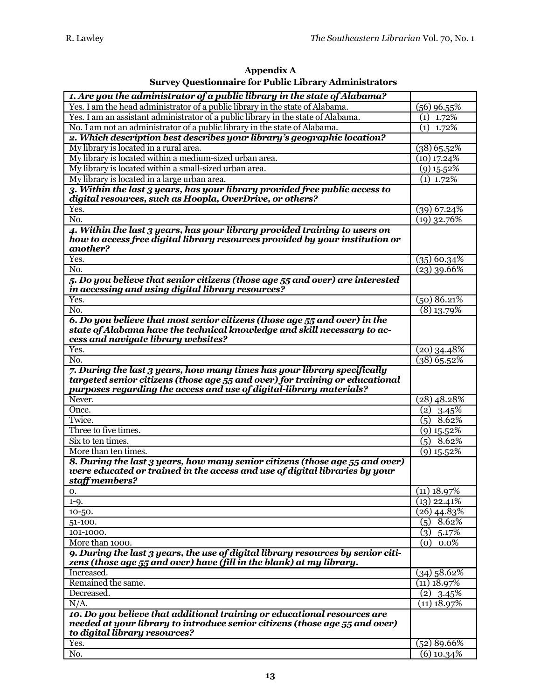| Appendix A                                                    |
|---------------------------------------------------------------|
| <b>Survey Questionnaire for Public Library Administrators</b> |

| 1. Are you the administrator of a public library in the state of Alabama?                                                                                                                                                       |                           |
|---------------------------------------------------------------------------------------------------------------------------------------------------------------------------------------------------------------------------------|---------------------------|
| Yes. I am the head administrator of a public library in the state of Alabama.                                                                                                                                                   | (56) 96.55%               |
| Yes. I am an assistant administrator of a public library in the state of Alabama.                                                                                                                                               | $(1)$ 1.72%               |
| No. I am not an administrator of a public library in the state of Alabama.                                                                                                                                                      | $(1)$ 1.72%               |
| 2. Which description best describes your library's geographic location?                                                                                                                                                         |                           |
| My library is located in a rural area.                                                                                                                                                                                          | $(38)$ 65.52%             |
| My library is located within a medium-sized urban area.                                                                                                                                                                         | $(10)$ 17.24%             |
| My library is located within a small-sized urban area.                                                                                                                                                                          | $(9)$ 15.52%              |
| My library is located in a large urban area.                                                                                                                                                                                    | $(1)$ 1.72%               |
| 3. Within the last 3 years, has your library provided free public access to<br>digital resources, such as Hoopla, OverDrive, or others?                                                                                         |                           |
| Yes.                                                                                                                                                                                                                            | $(39)$ 67.24%             |
| No.                                                                                                                                                                                                                             | $(19)$ 32.76%             |
| 4. Within the last 3 years, has your library provided training to users on<br>how to access free digital library resources provided by your institution or<br>another?                                                          |                           |
| Yes.                                                                                                                                                                                                                            | $(35)$ 60.34%             |
| No.                                                                                                                                                                                                                             | $(23)$ 39.66%             |
| 5. Do you believe that senior citizens (those age 55 and over) are interested<br>in accessing and using digital library resources?                                                                                              |                           |
| Yes.                                                                                                                                                                                                                            | $(50)$ 86.21%             |
| No.                                                                                                                                                                                                                             | $(8)$ 13.79%              |
| 6. Do you believe that most senior citizens (those age 55 and over) in the<br>state of Alabama have the technical knowledge and skill necessary to ac-<br>cess and navigate library websites?                                   |                           |
| Yes.                                                                                                                                                                                                                            | $(20)$ 34.48%             |
| No.                                                                                                                                                                                                                             | $(38)$ 65.52%             |
| 7. During the last 3 years, how many times has your library specifically<br>targeted senior citizens (those age 55 and over) for training or educational<br>purposes regarding the access and use of digital-library materials? |                           |
| Never.                                                                                                                                                                                                                          | $(28)$ 48.28%             |
| Once.                                                                                                                                                                                                                           | 3.45%<br>(2)              |
| Twice.                                                                                                                                                                                                                          | $8.62\%$<br>(5)           |
| Three to five times.                                                                                                                                                                                                            | $(9)$ 15.52%              |
| Six to ten times.                                                                                                                                                                                                               | $(5)$ 8.62%               |
| More than ten times.                                                                                                                                                                                                            | $(9)$ 15.52%              |
| 8. During the last 3 years, how many senior citizens (those age 55 and over)<br>were educated or trained in the access and use of digital libraries by your<br>staff members?                                                   |                           |
| 0.                                                                                                                                                                                                                              | $(11)$ 18.97%             |
| $1 - Q$ .                                                                                                                                                                                                                       | $\overline{(13) 2}$ 2.41% |
| 10-50.                                                                                                                                                                                                                          | $(26)$ 44.83%             |
| 51-100.                                                                                                                                                                                                                         | $(5)$ 8.62%               |
| 101-1000.                                                                                                                                                                                                                       | (3)<br>5.17%              |
| More than 1000.                                                                                                                                                                                                                 | 0.0%<br>(O)               |
| 9. During the last 3 years, the use of digital library resources by senior citi-<br>zens (those age 55 and over) have (fill in the blank) at my library.                                                                        |                           |
| Increased.                                                                                                                                                                                                                      | $(34)$ 58.62%             |
| Remained the same.                                                                                                                                                                                                              | $(11)$ 18.97%             |
| Decreased.                                                                                                                                                                                                                      | $(2)$ 3.45%               |
| N/A.                                                                                                                                                                                                                            | $(11)$ 18.97%             |
| 10. Do you believe that additional training or educational resources are                                                                                                                                                        |                           |
| needed at your library to introduce senior citizens (those age 55 and over)<br>to digital library resources?                                                                                                                    |                           |
| Yes.                                                                                                                                                                                                                            | $(52)$ 89.66%             |
| No.                                                                                                                                                                                                                             | $\sqrt{(6)}$ 10.34%       |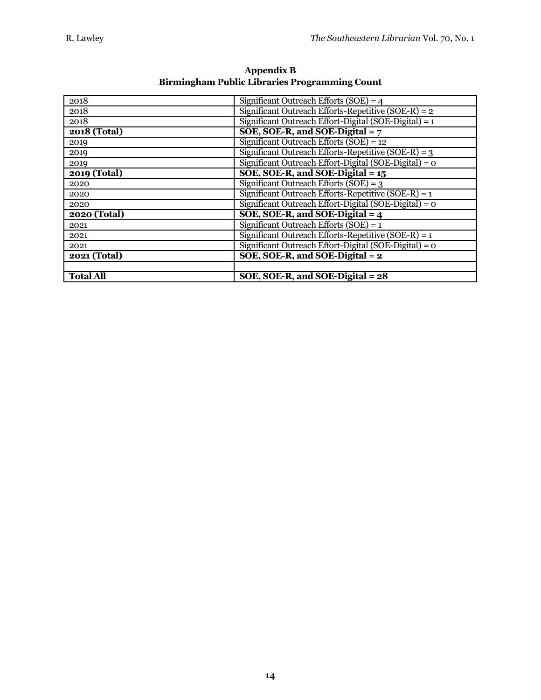| 2018             | Significant Outreach Efforts (SOE) = $4$                |
|------------------|---------------------------------------------------------|
| 2018             | Significant Outreach Efforts-Repetitive (SOE-R) = $2$   |
| 2018             | Significant Outreach Effort-Digital (SOE-Digital) = $1$ |
| 2018 (Total)     | SOE, SOE-R, and SOE-Digital $= 7$                       |
| 2019             | Significant Outreach Efforts $(SOE) = 12$               |
| 2019             | Significant Outreach Efforts-Repetitive (SOE-R) = $3$   |
| 2019             | Significant Outreach Effort-Digital (SOE-Digital) = $o$ |
| 2019 (Total)     | SOE, SOE-R, and SOE-Digital $= 15$                      |
| 2020             | Significant Outreach Efforts $(SOE) = 3$                |
| 2020             | Significant Outreach Efforts-Repetitive $(SOE-R) = 1$   |
| 2020             | Significant Outreach Effort-Digital (SOE-Digital) = 0   |
| 2020 (Total)     | SOE, SOE-R, and SOE-Digital $=$ 4                       |
| 2021             | Significant Outreach Efforts (SOE) = $1$                |
| 2021             | Significant Outreach Efforts-Repetitive (SOE-R) = $1$   |
| 2021             | Significant Outreach Effort-Digital (SOE-Digital) = $o$ |
| 2021 (Total)     | SOE, SOE-R, and SOE-Digital $= 2$                       |
|                  |                                                         |
| <b>Total All</b> | SOE, SOE-R, and SOE-Digital = 28                        |

**Appendix B Birmingham Public Libraries Programming Count**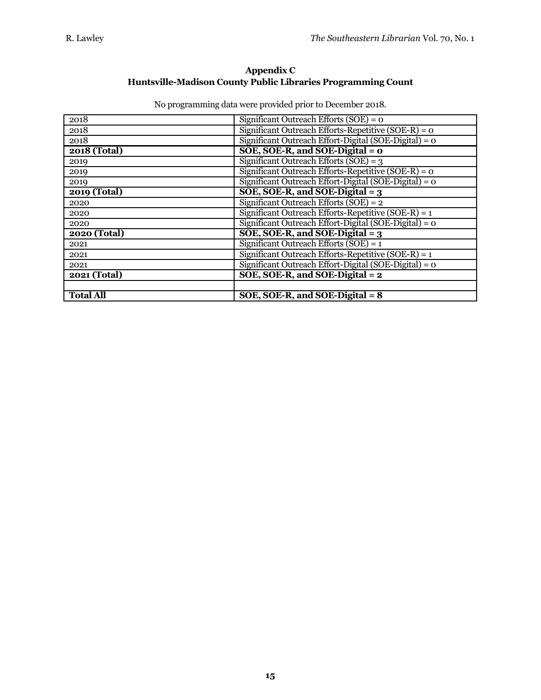# **Appendix C Huntsville-Madison County Public Libraries Programming Count**

| 2018                | Significant Outreach Efforts $(SOE) = 0$                |
|---------------------|---------------------------------------------------------|
| 2018                | Significant Outreach Efforts-Repetitive (SOE-R) = $o$   |
| 2018                | Significant Outreach Effort-Digital (SOE-Digital) = $o$ |
| 2018 (Total)        | SOE, SOE-R, and SOE-Digital = $0$                       |
| 2019                | Significant Outreach Efforts (SOE) = $3$                |
| 2019                | Significant Outreach Efforts-Repetitive (SOE-R) = $o$   |
| 2019                | Significant Outreach Effort-Digital (SOE-Digital) = 0   |
| 2019 (Total)        | SOE, SOE-R, and SOE-Digital $= 3$                       |
| 2020                | Significant Outreach Efforts $(SOE) = 2$                |
| 2020                | Significant Outreach Efforts-Repetitive (SOE-R) = $1$   |
| 2020                | Significant Outreach Effort-Digital (SOE-Digital) = 0   |
| 2020 (Total)        | SOE, SOE-R, and SOE-Digital $= 3$                       |
| 2021                | Significant Outreach Efforts (SOE) = $1$                |
| 2021                | Significant Outreach Efforts-Repetitive (SOE-R) = $1$   |
| 2021                | Significant Outreach Effort-Digital (SOE-Digital) = 0   |
| <b>2021 (Total)</b> | SOE, SOE-R, and SOE-Digital $= 2$                       |
|                     |                                                         |
| <b>Total All</b>    | SOE, SOE-R, and SOE-Digital $= 8$                       |

No programming data were provided prior to December 2018.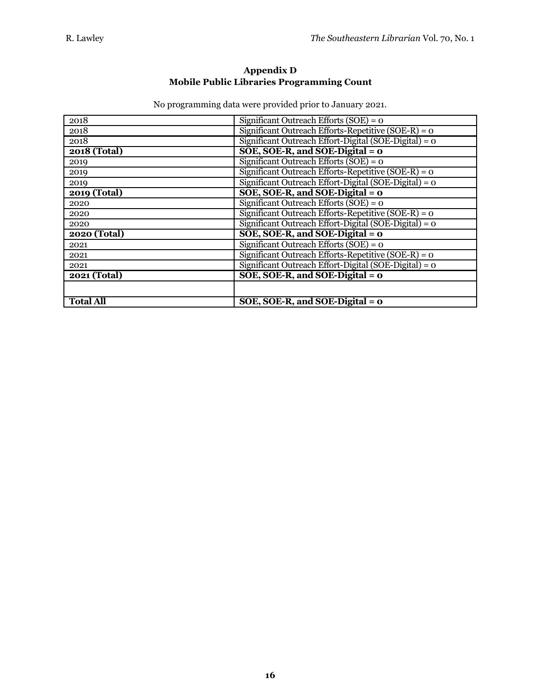#### **Appendix D Mobile Public Libraries Programming Count**

| No programming data were provided prior to January 2021. |  |  |  |
|----------------------------------------------------------|--|--|--|
|                                                          |  |  |  |

| 2018                | Significant Outreach Efforts $(SOE) = 0$                |
|---------------------|---------------------------------------------------------|
| 2018                | Significant Outreach Efforts-Repetitive (SOE-R) = $o$   |
| 2018                | Significant Outreach Effort-Digital (SOE-Digital) = 0   |
| <b>2018 (Total)</b> | $SOE, SOE-R, and SOE-Digital = 0$                       |
| 2019                | Significant Outreach Efforts $(SOE) = 0$                |
| 2019                | Significant Outreach Efforts-Repetitive (SOE-R) = $o$   |
| 2019                | Significant Outreach Effort-Digital (SOE-Digital) = 0   |
| 2019 (Total)        | SOE, SOE-R, and SOE-Digital = $o$                       |
| 2020                | Significant Outreach Efforts $(SOE) = 0$                |
| 2020                | Significant Outreach Efforts-Repetitive (SOE-R) = $o$   |
| 2020                | Significant Outreach Effort-Digital (SOE-Digital) = $o$ |
| <b>2020 (Total)</b> | SOE, SOE-R, and SOE-Digital = $\sigma$                  |
| 2021                | Significant Outreach Efforts $(SOE) = 0$                |
| 2021                | Significant Outreach Efforts-Repetitive (SOE-R) = $o$   |
| 2021                | Significant Outreach Effort-Digital (SOE-Digital) = $o$ |
| 2021 (Total)        | SOE, SOE-R, and SOE-Digital = $\sigma$                  |
|                     |                                                         |
| <b>Total All</b>    | SOE, SOE-R, and SOE-Digital = $o$                       |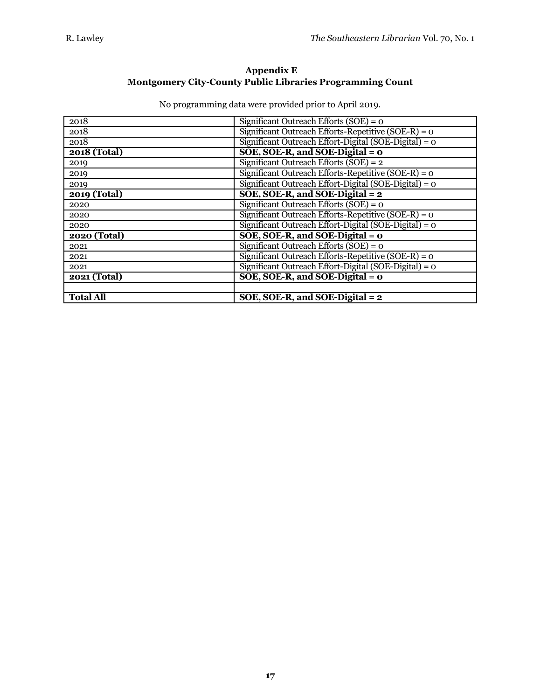# **Appendix E Montgomery City-County Public Libraries Programming Count**

| 2018                | Significant Outreach Efforts $(SOE) = 0$              |
|---------------------|-------------------------------------------------------|
| 2018                | Significant Outreach Efforts-Repetitive $(SOE-R) = 0$ |
| 2018                | Significant Outreach Effort-Digital (SOE-Digital) = 0 |
| 2018 (Total)        | SOE, SOE-R, and SOE-Digital = $o$                     |
| 2019                | Significant Outreach Efforts $(SOE) = 2$              |
| 2019                | Significant Outreach Efforts-Repetitive (SOE-R) = $o$ |
| 2019                | Significant Outreach Effort-Digital (SOE-Digital) = 0 |
| 2019 (Total)        | SOE, SOE-R, and SOE-Digital $= 2$                     |
| 2020                | Significant Outreach Efforts $(SOE) = 0$              |
| 2020                | Significant Outreach Efforts-Repetitive (SOE-R) = $o$ |
| 2020                | Significant Outreach Effort-Digital (SOE-Digital) = 0 |
| <b>2020 (Total)</b> | SOE, SOE-R, and SOE-Digital = $0$                     |
| 2021                | Significant Outreach Efforts (SOE) = $o$              |
| 2021                | Significant Outreach Efforts-Repetitive (SOE-R) = $o$ |
| 2021                | Significant Outreach Effort-Digital (SOE-Digital) = 0 |
| 2021 (Total)        | $SOE, SOE-R, and SOE-Digital = 0$                     |
|                     |                                                       |
| <b>Total All</b>    | SOE, SOE-R, and SOE-Digital $= 2$                     |

No programming data were provided prior to April 2019.